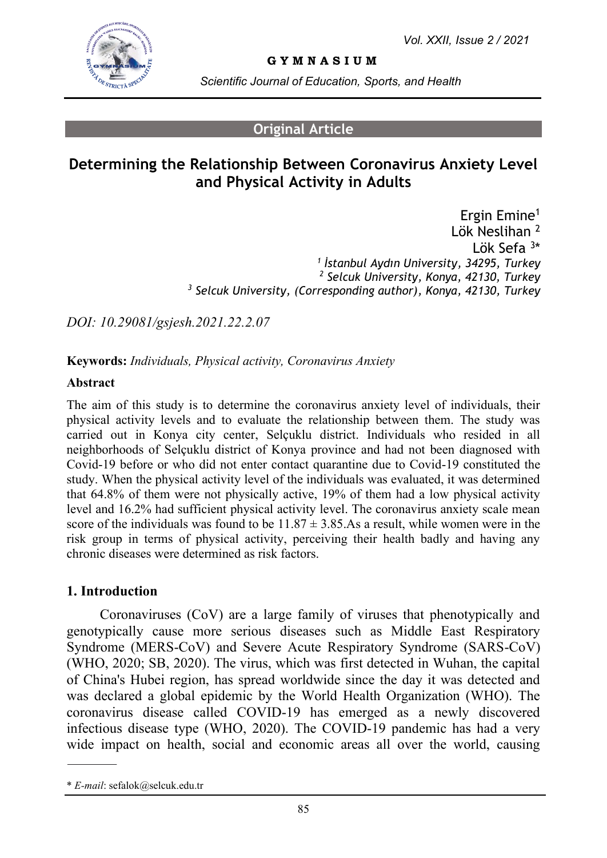

**G Y M N A S I U M**

*Scientific Journal of Education, Sports, and Health*

#### **Original Article**

# **Determining the Relationship Between Coronavirus Anxiety Level and Physical Activity in Adults**

Ergin Emine<sup>1</sup> Lök Neslihan<sup>2</sup> Lök Sefa <sup>3</sup>\* *1 İstanbul Aydın University, 34295, Turkey <sup>2</sup> Selcuk University, Konya, 42130, Turkey <sup>3</sup> Selcuk University, (Corresponding author), Konya, 42130, Turkey*

*DOI: 10.29081/gsjesh.2021.22.2.07*

**Keywords:** *Individuals, Physical activity, Coronavirus Anxiety*

#### **Abstract**

The aim of this study is to determine the coronavirus anxiety level of individuals, their physical activity levels and to evaluate the relationship between them. The study was carried out in Konya city center, Selçuklu district. Individuals who resided in all neighborhoods of Selçuklu district of Konya province and had not been diagnosed with Covid-19 before or who did not enter contact quarantine due to Covid-19 constituted the study. When the physical activity level of the individuals was evaluated, it was determined that 64.8% of them were not physically active, 19% of them had a low physical activity level and 16.2% had sufficient physical activity level. The coronavirus anxiety scale mean score of the individuals was found to be  $11.87 \pm 3.85$ . As a result, while women were in the risk group in terms of physical activity, perceiving their health badly and having any chronic diseases were determined as risk factors.

#### **1. Introduction**

Coronaviruses (CoV) are a large family of viruses that phenotypically and genotypically cause more serious diseases such as Middle East Respiratory Syndrome (MERS-CoV) and Severe Acute Respiratory Syndrome (SARS-CoV) (WHO, 2020; SB, 2020). The virus, which was first detected in Wuhan, the capital of China's Hubei region, has spread worldwide since the day it was detected and was declared a global epidemic by the World Health Organization (WHO). The coronavirus disease called COVID-19 has emerged as a newly discovered infectious disease type (WHO, 2020). The COVID-19 pandemic has had a very wide impact on health, social and economic areas all over the world, causing

<sup>\*</sup> *E-mail*[: sefalok@selcuk.edu.tr](mailto:sefalok@selcuk.edu.tr)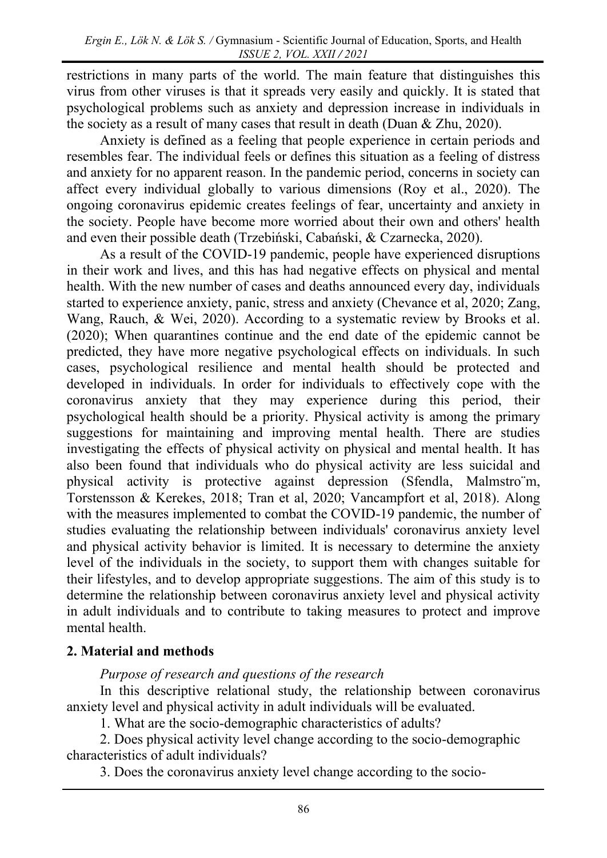restrictions in many parts of the world. The main feature that distinguishes this virus from other viruses is that it spreads very easily and quickly. It is stated that psychological problems such as anxiety and depression increase in individuals in the society as a result of many cases that result in death (Duan & Zhu, 2020).

Anxiety is defined as a feeling that people experience in certain periods and resembles fear. The individual feels or defines this situation as a feeling of distress and anxiety for no apparent reason. In the pandemic period, concerns in society can affect every individual globally to various dimensions (Roy et al., 2020). The ongoing coronavirus epidemic creates feelings of fear, uncertainty and anxiety in the society. People have become more worried about their own and others' health and even their possible death (Trzebiński, Cabański, & Czarnecka, 2020).

As a result of the COVID-19 pandemic, people have experienced disruptions in their work and lives, and this has had negative effects on physical and mental health. With the new number of cases and deaths announced every day, individuals started to experience anxiety, panic, stress and anxiety (Chevance et al, 2020; Zang, Wang, Rauch, & Wei, 2020). According to a systematic review by Brooks et al. (2020); When quarantines continue and the end date of the epidemic cannot be predicted, they have more negative psychological effects on individuals. In such cases, psychological resilience and mental health should be protected and developed in individuals. In order for individuals to effectively cope with the coronavirus anxiety that they may experience during this period, their psychological health should be a priority. Physical activity is among the primary suggestions for maintaining and improving mental health. There are studies investigating the effects of physical activity on physical and mental health. It has also been found that individuals who do physical activity are less suicidal and physical activity is protective against depression (Sfendla, Malmstro¨m, Torstensson & Kerekes, 2018; Tran et al, 2020; Vancampfort et al, 2018). Along with the measures implemented to combat the COVID-19 pandemic, the number of studies evaluating the relationship between individuals' coronavirus anxiety level and physical activity behavior is limited. It is necessary to determine the anxiety level of the individuals in the society, to support them with changes suitable for their lifestyles, and to develop appropriate suggestions. The aim of this study is to determine the relationship between coronavirus anxiety level and physical activity in adult individuals and to contribute to taking measures to protect and improve mental health.

## **2. Material and methods**

*Purpose of research and questions of the research*

In this descriptive relational study, the relationship between coronavirus anxiety level and physical activity in adult individuals will be evaluated.

1. What are the socio-demographic characteristics of adults?

2. Does physical activity level change according to the socio-demographic characteristics of adult individuals?

3. Does the coronavirus anxiety level change according to the socio-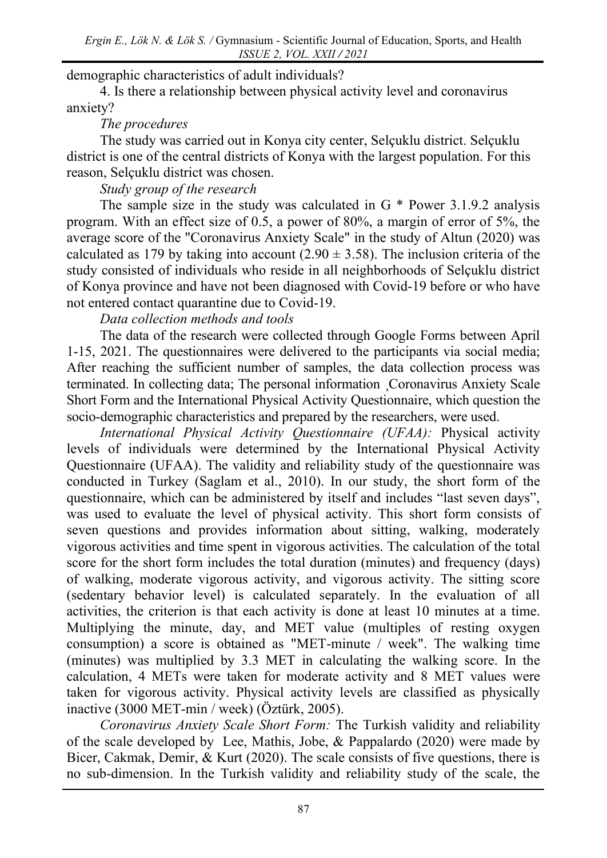demographic characteristics of adult individuals?

4. Is there a relationship between physical activity level and coronavirus anxiety?

### *The procedures*

The study was carried out in Konya city center, Selçuklu district. Selçuklu district is one of the central districts of Konya with the largest population. For this reason, Selçuklu district was chosen.

## *Study group of the research*

The sample size in the study was calculated in G \* Power 3.1.9.2 analysis program. With an effect size of 0.5, a power of 80%, a margin of error of 5%, the average score of the "Coronavirus Anxiety Scale" in the study of Altun (2020) was calculated as 179 by taking into account  $(2.90 \pm 3.58)$ . The inclusion criteria of the study consisted of individuals who reside in all neighborhoods of Selçuklu district of Konya province and have not been diagnosed with Covid-19 before or who have not entered contact quarantine due to Covid-19.

### *Data collection methods and tools*

The data of the research were collected through Google Forms between April 1-15, 2021. The questionnaires were delivered to the participants via social media; After reaching the sufficient number of samples, the data collection process was terminated. In collecting data; The personal information ¸Coronavirus Anxiety Scale Short Form and the International Physical Activity Questionnaire, which question the socio-demographic characteristics and prepared by the researchers, were used.

*International Physical Activity Questionnaire (UFAA):* Physical activity levels of individuals were determined by the International Physical Activity Questionnaire (UFAA). The validity and reliability study of the questionnaire was conducted in Turkey (Saglam et al., 2010). In our study, the short form of the questionnaire, which can be administered by itself and includes "last seven days", was used to evaluate the level of physical activity. This short form consists of seven questions and provides information about sitting, walking, moderately vigorous activities and time spent in vigorous activities. The calculation of the total score for the short form includes the total duration (minutes) and frequency (days) of walking, moderate vigorous activity, and vigorous activity. The sitting score (sedentary behavior level) is calculated separately. In the evaluation of all activities, the criterion is that each activity is done at least 10 minutes at a time. Multiplying the minute, day, and MET value (multiples of resting oxygen consumption) a score is obtained as "MET-minute / week". The walking time (minutes) was multiplied by 3.3 MET in calculating the walking score. In the calculation, 4 METs were taken for moderate activity and 8 MET values were taken for vigorous activity. Physical activity levels are classified as physically inactive (3000 MET-min / week) (Öztürk, 2005).

*Coronavirus Anxiety Scale Short Form:* The Turkish validity and reliability of the scale developed by Lee, Mathis, Jobe, & Pappalardo (2020) were made by Bicer, Cakmak, Demir, & Kurt (2020). The scale consists of five questions, there is no sub-dimension. In the Turkish validity and reliability study of the scale, the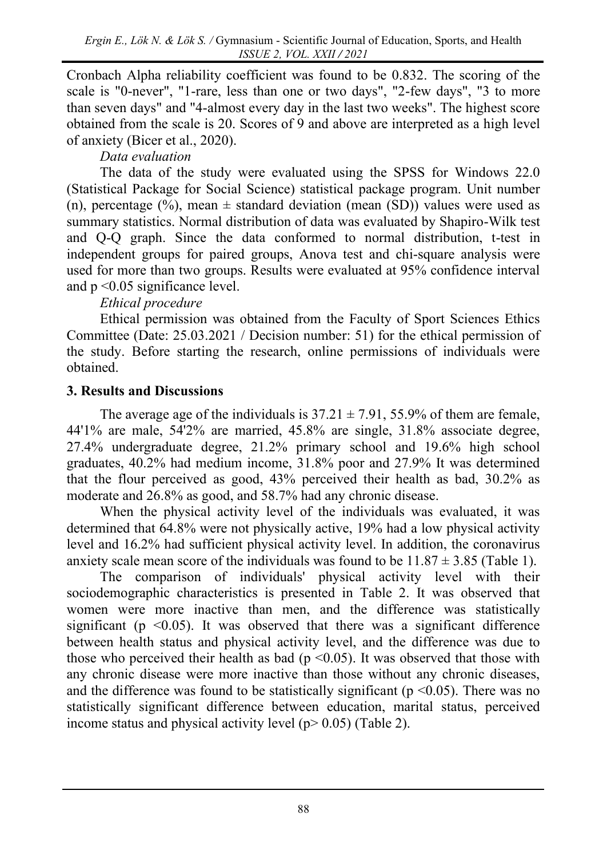Cronbach Alpha reliability coefficient was found to be 0.832. The scoring of the scale is "0-never", "1-rare, less than one or two days", "2-few days", "3 to more than seven days" and "4-almost every day in the last two weeks". The highest score obtained from the scale is 20. Scores of 9 and above are interpreted as a high level of anxiety (Bicer et al., 2020).

# *Data evaluation*

The data of the study were evaluated using the SPSS for Windows 22.0 (Statistical Package for Social Science) statistical package program. Unit number (n), percentage (%), mean  $\pm$  standard deviation (mean (SD)) values were used as summary statistics. Normal distribution of data was evaluated by Shapiro-Wilk test and Q-Q graph. Since the data conformed to normal distribution, t-test in independent groups for paired groups, Anova test and chi-square analysis were used for more than two groups. Results were evaluated at 95% confidence interval and p <0.05 significance level.

# *Ethical procedure*

Ethical permission was obtained from the Faculty of Sport Sciences Ethics Committee (Date: 25.03.2021 / Decision number: 51) for the ethical permission of the study. Before starting the research, online permissions of individuals were obtained.

# **3. Results and Discussions**

The average age of the individuals is  $37.21 \pm 7.91$ ,  $55.9\%$  of them are female, 44'1% are male, 54'2% are married, 45.8% are single, 31.8% associate degree, 27.4% undergraduate degree, 21.2% primary school and 19.6% high school graduates, 40.2% had medium income, 31.8% poor and 27.9% It was determined that the flour perceived as good, 43% perceived their health as bad, 30.2% as moderate and 26.8% as good, and 58.7% had any chronic disease.

When the physical activity level of the individuals was evaluated, it was determined that 64.8% were not physically active, 19% had a low physical activity level and 16.2% had sufficient physical activity level. In addition, the coronavirus anxiety scale mean score of the individuals was found to be  $11.87 \pm 3.85$  (Table 1).

The comparison of individuals' physical activity level with their sociodemographic characteristics is presented in Table 2. It was observed that women were more inactive than men, and the difference was statistically significant ( $p \leq 0.05$ ). It was observed that there was a significant difference between health status and physical activity level, and the difference was due to those who perceived their health as bad ( $p \le 0.05$ ). It was observed that those with any chronic disease were more inactive than those without any chronic diseases, and the difference was found to be statistically significant ( $p \le 0.05$ ). There was no statistically significant difference between education, marital status, perceived income status and physical activity level ( $p$  > 0.05) (Table 2).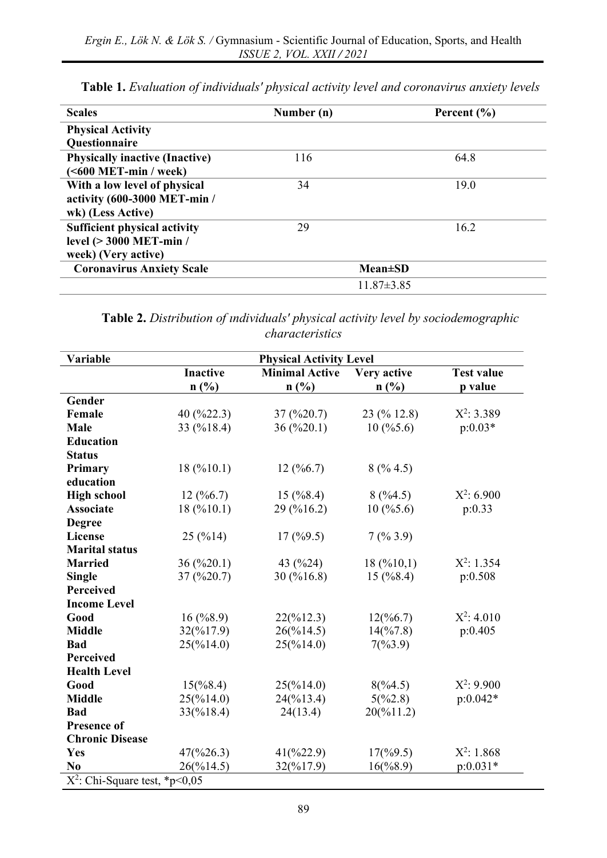| <b>Scales</b>                         | Number (n) | Percent $(\% )$  |
|---------------------------------------|------------|------------------|
| <b>Physical Activity</b>              |            |                  |
| Questionnaire                         |            |                  |
| <b>Physically inactive (Inactive)</b> | 116        | 64.8             |
| $(600 MET-min / week)$                |            |                  |
| With a low level of physical          | 34         | 19.0             |
| activity (600-3000 MET-min /          |            |                  |
| wk) (Less Active)                     |            |                  |
| <b>Sufficient physical activity</b>   | 29         | 16.2             |
| level (> 3000 MET-min /               |            |                  |
| week) (Very active)                   |            |                  |
| <b>Coronavirus Anxiety Scale</b>      |            | $Mean \pm SD$    |
|                                       |            | $11.87 \pm 3.85$ |

**Table 1.** *Evaluation of individuals' physical activity level and coronavirus anxiety levels*

**Table 2.** *Distribution of ındividuals' physical activity level by sociodemographic characteristics*

| Variable                         |                                    | <b>Physical Activity Level</b>     |                       |                   |
|----------------------------------|------------------------------------|------------------------------------|-----------------------|-------------------|
|                                  | <b>Inactive</b>                    | <b>Minimal Active</b>              | Very active           | <b>Test value</b> |
|                                  | n(%)                               | n(%)                               | n(%)                  | p value           |
| Gender                           |                                    |                                    |                       |                   |
| Female                           | 40 (%22.3)                         | $37 \left( \frac{9}{20.7} \right)$ | 23 (% 12.8)           | $X^2$ : 3.389     |
| <b>Male</b>                      | 33 (%18.4)                         | 36(%20.1)                          | 10(%5.6)              | $p:0.03*$         |
| <b>Education</b>                 |                                    |                                    |                       |                   |
| <b>Status</b>                    |                                    |                                    |                       |                   |
| Primary                          | 18(%10.1)                          | 12(%6.7)                           | 8(%4.5)               |                   |
| education                        |                                    |                                    |                       |                   |
| <b>High school</b>               | 12(%6.7)                           | $15 \, (%8.4)$                     | 8(%4.5)               | $X^2$ : 6.900     |
| <b>Associate</b>                 | 18(%10.1)                          | 29 (%16.2)                         | 10(%5.6)              | p:0.33            |
| <b>Degree</b>                    |                                    |                                    |                       |                   |
| <b>License</b>                   | 25(%14)                            | 17(%9.5)                           | 7(%3.9)               |                   |
| <b>Marital status</b>            |                                    |                                    |                       |                   |
| <b>Married</b>                   | $36 \left( \frac{9}{20.1} \right)$ | 43 (%24)                           | 18(%10,1)             | $X^2$ : 1.354     |
| <b>Single</b>                    | 37(%20.7)                          | 30 (%16.8)                         | 15(%8.4)              | p:0.508           |
| <b>Perceived</b>                 |                                    |                                    |                       |                   |
| <b>Income Level</b>              |                                    |                                    |                       |                   |
| Good                             | 16(%8.9)                           | $22(^{96}12.3)$                    | $12(^{96}6.7)$        | $X^2$ : 4.010     |
| <b>Middle</b>                    | 32(%17.9)                          | 26(%14.5)                          | $14(^{9}67.8)$        | p:0.405           |
| <b>Bad</b>                       | 25(%14.0)                          | $25(\frac{9}{14.0})$               | $7(^{0}\!\!/_{0}3.9)$ |                   |
| Perceived                        |                                    |                                    |                       |                   |
| <b>Health Level</b>              |                                    |                                    |                       |                   |
| Good                             | $15(\%8.4)$                        | 25(%14.0)                          | 8(%4.5)               | $X^2$ : 9.900     |
| <b>Middle</b>                    | 25(%14.0)                          | 24(%13.4)                          | 5(%2.8)               | $p:0.042*$        |
| <b>Bad</b>                       | 33(%18.4)                          | 24(13.4)                           | 20(%11.2)             |                   |
| <b>Presence of</b>               |                                    |                                    |                       |                   |
| <b>Chronic Disease</b>           |                                    |                                    |                       |                   |
| Yes                              | 47(%26.3)                          | $41(^{9}622.9)$                    | 17(%9.5)              | $X^2$ : 1.868     |
| N <sub>0</sub>                   | 26(%14.5)                          | 32(%17.9)                          | $16(\frac{6}{8.9})$   | $p:0.031*$        |
| $X^2$ : Chi-Square test, *p<0,05 |                                    |                                    |                       |                   |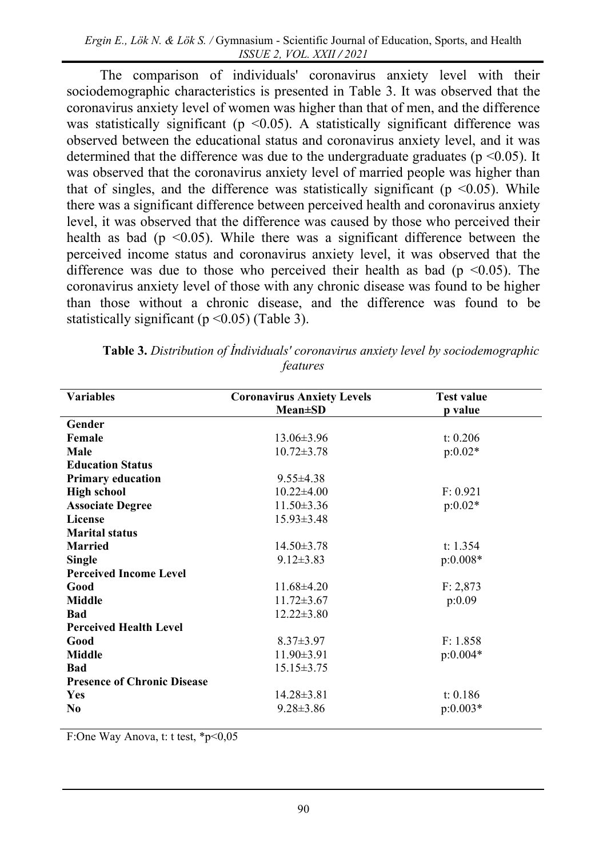The comparison of individuals' coronavirus anxiety level with their sociodemographic characteristics is presented in Table 3. It was observed that the coronavirus anxiety level of women was higher than that of men, and the difference was statistically significant ( $p \le 0.05$ ). A statistically significant difference was observed between the educational status and coronavirus anxiety level, and it was determined that the difference was due to the undergraduate graduates ( $p \le 0.05$ ). It was observed that the coronavirus anxiety level of married people was higher than that of singles, and the difference was statistically significant ( $p \le 0.05$ ). While there was a significant difference between perceived health and coronavirus anxiety level, it was observed that the difference was caused by those who perceived their health as bad ( $p \le 0.05$ ). While there was a significant difference between the perceived income status and coronavirus anxiety level, it was observed that the difference was due to those who perceived their health as bad ( $p \le 0.05$ ). The coronavirus anxiety level of those with any chronic disease was found to be higher than those without a chronic disease, and the difference was found to be statistically significant ( $p \le 0.05$ ) (Table 3).

| <b>Coronavirus Anxiety Levels</b><br><b>Mean±SD</b><br>p value<br>Gender<br>Female<br>$13.06 \pm 3.96$<br>t: 0.206 |
|--------------------------------------------------------------------------------------------------------------------|
|                                                                                                                    |
|                                                                                                                    |
|                                                                                                                    |
| $p:0.02*$<br>Male<br>$10.72 \pm 3.78$                                                                              |
| <b>Education Status</b>                                                                                            |
| $9.55 \pm 4.38$<br><b>Primary education</b>                                                                        |
| $10.22 \pm 4.00$<br>F: 0.921<br><b>High school</b>                                                                 |
| $p:0.02*$<br><b>Associate Degree</b><br>$11.50 \pm 3.36$                                                           |
| <b>License</b><br>$15.93 \pm 3.48$                                                                                 |
| <b>Marital status</b>                                                                                              |
| <b>Married</b><br>$14.50 \pm 3.78$<br>t: $1.354$                                                                   |
| $p:0.008*$<br><b>Single</b><br>$9.12 \pm 3.83$                                                                     |
| <b>Perceived Income Level</b>                                                                                      |
| Good<br>$11.68\pm4.20$<br>F: 2,873                                                                                 |
| <b>Middle</b><br>$11.72 \pm 3.67$<br>p:0.09                                                                        |
| $12.22 \pm 3.80$<br><b>Bad</b>                                                                                     |
| <b>Perceived Health Level</b>                                                                                      |
| $8.37 \pm 3.97$<br>F: 1.858<br>Good                                                                                |
| <b>Middle</b><br>$11.90 \pm 3.91$<br>$p:0.004*$                                                                    |
| <b>Bad</b><br>$15.15 \pm 3.75$                                                                                     |
| <b>Presence of Chronic Disease</b>                                                                                 |
| $14.28 \pm 3.81$<br>t: $0.186$<br>Yes                                                                              |
| $9.28 \pm 3.86$<br>$p:0.003*$<br>N <sub>0</sub>                                                                    |

**Table 3.** *Distribution of İndividuals' coronavirus anxiety level by sociodemographic features*

F:One Way Anova, t: t test, \*p<0,05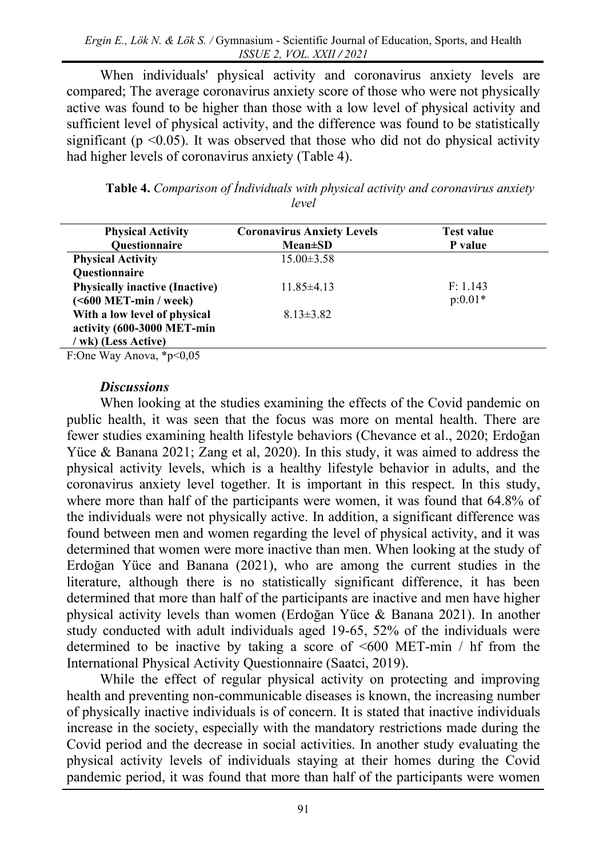When individuals' physical activity and coronavirus anxiety levels are compared; The average coronavirus anxiety score of those who were not physically active was found to be higher than those with a low level of physical activity and sufficient level of physical activity, and the difference was found to be statistically significant ( $p$  <0.05). It was observed that those who did not do physical activity had higher levels of coronavirus anxiety (Table 4).

**Table 4.** *Comparison of İndividuals with physical activity and coronavirus anxiety level*

| <b>Physical Activity</b>              | <b>Coronavirus Anxiety Levels</b> | <b>Test value</b> |
|---------------------------------------|-----------------------------------|-------------------|
| Questionnaire                         | $Mean \pm SD$                     | P value           |
| <b>Physical Activity</b>              | $15.00 \pm 3.58$                  |                   |
| Questionnaire                         |                                   |                   |
| <b>Physically inactive (Inactive)</b> | $11.85\pm4.13$                    | F: 1.143          |
| $(600 MET-min / week)$                |                                   | $p:0.01*$         |
| With a low level of physical          | $8.13 \pm 3.82$                   |                   |
| activity (600-3000 MET-min            |                                   |                   |
| / wk) (Less Active)                   |                                   |                   |

F:One Way Anova, \*p<0,05

#### *Discussions*

When looking at the studies examining the effects of the Covid pandemic on public health, it was seen that the focus was more on mental health. There are fewer studies examining health lifestyle behaviors (Chevance et al., 2020; Erdoğan Yüce & Banana 2021; Zang et al, 2020). In this study, it was aimed to address the physical activity levels, which is a healthy lifestyle behavior in adults, and the coronavirus anxiety level together. It is important in this respect. In this study, where more than half of the participants were women, it was found that 64.8% of the individuals were not physically active. In addition, a significant difference was found between men and women regarding the level of physical activity, and it was determined that women were more inactive than men. When looking at the study of Erdoğan Yüce and Banana (2021), who are among the current studies in the literature, although there is no statistically significant difference, it has been determined that more than half of the participants are inactive and men have higher physical activity levels than women (Erdoğan Yüce & Banana 2021). In another study conducted with adult individuals aged 19-65, 52% of the individuals were determined to be inactive by taking a score of <600 MET-min / hf from the International Physical Activity Questionnaire (Saatci, 2019).

While the effect of regular physical activity on protecting and improving health and preventing non-communicable diseases is known, the increasing number of physically inactive individuals is of concern. It is stated that inactive individuals increase in the society, especially with the mandatory restrictions made during the Covid period and the decrease in social activities. In another study evaluating the physical activity levels of individuals staying at their homes during the Covid pandemic period, it was found that more than half of the participants were women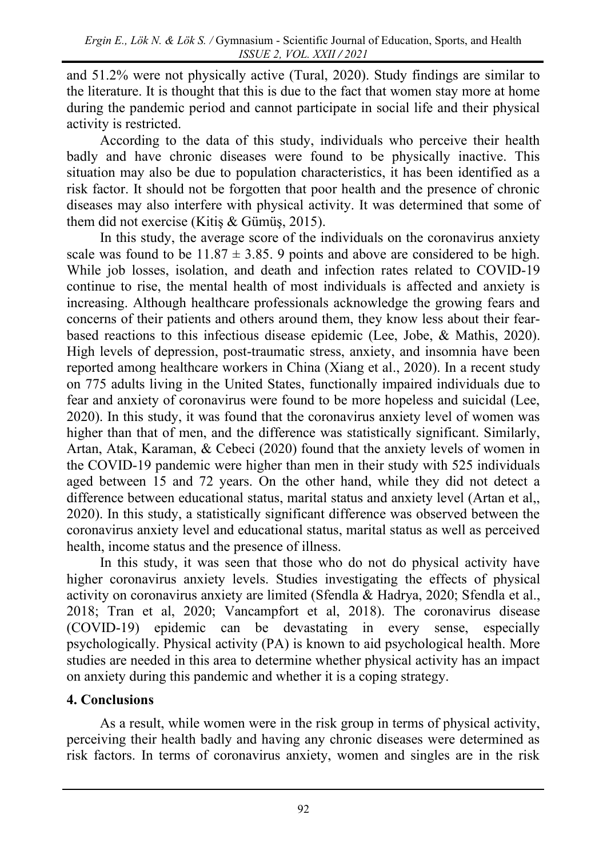and 51.2% were not physically active (Tural, 2020). Study findings are similar to the literature. It is thought that this is due to the fact that women stay more at home during the pandemic period and cannot participate in social life and their physical activity is restricted.

According to the data of this study, individuals who perceive their health badly and have chronic diseases were found to be physically inactive. This situation may also be due to population characteristics, it has been identified as a risk factor. It should not be forgotten that poor health and the presence of chronic diseases may also interfere with physical activity. It was determined that some of them did not exercise (Kitiş & Gümüş, 2015).

In this study, the average score of the individuals on the coronavirus anxiety scale was found to be  $11.87 \pm 3.85$ . 9 points and above are considered to be high. While job losses, isolation, and death and infection rates related to COVID-19 continue to rise, the mental health of most individuals is affected and anxiety is increasing. Although healthcare professionals acknowledge the growing fears and concerns of their patients and others around them, they know less about their fearbased reactions to this infectious disease epidemic (Lee, Jobe, & Mathis, 2020). High levels of depression, post-traumatic stress, anxiety, and insomnia have been reported among healthcare workers in China (Xiang et al., 2020). In a recent study on 775 adults living in the United States, functionally impaired individuals due to fear and anxiety of coronavirus were found to be more hopeless and suicidal (Lee, 2020). In this study, it was found that the coronavirus anxiety level of women was higher than that of men, and the difference was statistically significant. Similarly, Artan, Atak, Karaman, & Cebeci (2020) found that the anxiety levels of women in the COVID-19 pandemic were higher than men in their study with 525 individuals aged between 15 and 72 years. On the other hand, while they did not detect a difference between educational status, marital status and anxiety level (Artan et al,, 2020). In this study, a statistically significant difference was observed between the coronavirus anxiety level and educational status, marital status as well as perceived health, income status and the presence of illness.

In this study, it was seen that those who do not do physical activity have higher coronavirus anxiety levels. Studies investigating the effects of physical activity on coronavirus anxiety are limited (Sfendla & Hadrya, 2020; Sfendla et al., 2018; Tran et al, 2020; Vancampfort et al, 2018). The coronavirus disease (COVID-19) epidemic can be devastating in every sense, especially psychologically. Physical activity (PA) is known to aid psychological health. More studies are needed in this area to determine whether physical activity has an impact on anxiety during this pandemic and whether it is a coping strategy.

## **4. Conclusions**

As a result, while women were in the risk group in terms of physical activity, perceiving their health badly and having any chronic diseases were determined as risk factors. In terms of coronavirus anxiety, women and singles are in the risk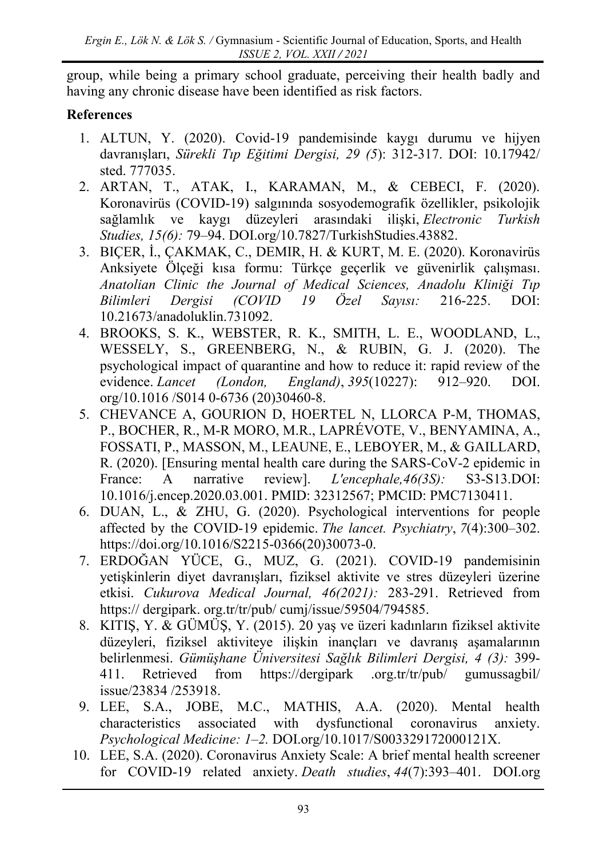group, while being a primary school graduate, perceiving their health badly and having any chronic disease have been identified as risk factors.

## **References**

- 1. ALTUN, Y. (2020). Covid-19 pandemisinde kaygı durumu ve hijyen davranışları, *Sürekli Tıp Eğitimi Dergisi, 29 (5*): 312-317. DOI: 10.17942/ sted. 777035.
- 2. ARTAN, T., ATAK, I., KARAMAN, M., & CEBECI, F. (2020). Koronavirüs (COVID-19) salgınında sosyodemografik özellikler, psikolojik sağlamlık ve kaygı düzeyleri arasındaki ilişki, *Electronic Turkish Studies, 15(6):* 79–94. [DOI.org/10.7827/TurkishStudies.43882.](https://doi.org/10.7827/TurkishStudies.43882)
- 3. BIÇER, İ., ÇAKMAK, C., DEMIR, H. & KURT, M. E. (2020). Koronavirüs Anksiyete Ölçeği kısa formu: Türkçe geçerlik ve güvenirlik çalışması. *Anatolian Clinic the Journal of Medical Sciences, Anadolu Kliniği Tıp Bilimleri Dergisi (COVID 19 Özel Sayısı:* 216-225. DOI: 10.21673/anadoluklin.731092.
- 4. BROOKS, S. K., WEBSTER, R. K., SMITH, L. E., WOODLAND, L., WESSELY, S., GREENBERG, N., & RUBIN, G. J. (2020). The psychological impact of quarantine and how to reduce it: rapid review of the evidence. *Lancet (London, England)*, *395*(10227): 912–920. DOI. org/10.1016 /S014 0-6736 (20)30460-8.
- 5. CHEVANCE A, GOURION D, HOERTEL N, LLORCA P-M, THOMAS, P., BOCHER, R., M-R MORO, M.R., LAPRÉVOTE, V., BENYAMINA, A., FOSSATI, P., MASSON, M., LEAUNE, E., LEBOYER, M., & GAILLARD, R. (2020). [Ensuring mental health care during the SARS-CoV-2 epidemic in France: A narrative review]. *L'encephale,46(3S):* S3-S13.DOI: 10.1016/j.encep.2020.03.001. PMID: 32312567; PMCID: PMC7130411.
- 6. DUAN, L., & ZHU, G. (2020). Psychological interventions for people affected by the COVID-19 epidemic. *The lancet. Psychiatry*, *7*(4):300–302. https://doi.org/10.1016/S2215-0366(20)30073-0.
- 7. ERDOĞAN YÜCE, G., MUZ, G. (2021). COVID-19 pandemisinin yetişkinlerin diyet davranışları, fiziksel aktivite ve stres düzeyleri üzerine etkisi. *Cukurova Medical Journal, 46(2021):* 283-291. Retrieved from https:// dergipark. org.tr/tr/pub/ cumj/issue/59504/794585.
- 8. KITIŞ, Y. & GÜMÜŞ, Y. (2015). 20 yaş ve üzeri kadınların fiziksel aktivite düzeyleri, fiziksel aktiviteye ilişkin inançları ve davranış aşamalarının belirlenmesi. *Gümüşhane Üniversitesi Sağlık Bilimleri Dergisi, 4 (3):* 399- 411. Retrieved from [https://dergipark](https://dergipark/) .org.tr/tr/pub/ gumussagbil/ issue/23834 /253918.
- 9. LEE, S.A., JOBE, M.C., MATHIS, A.A. (2020). Mental health characteristics associated with dysfunctional coronavirus anxiety. *Psychological Medicine: 1–2.* DOI.org/10.1017/S003329172000121X.
- 10. LEE, S.A. (2020). Coronavirus Anxiety Scale: A brief mental health screener for COVID-19 related anxiety. *Death studies*, *44*(7):393–401. [DOI.org](https://doi.org/)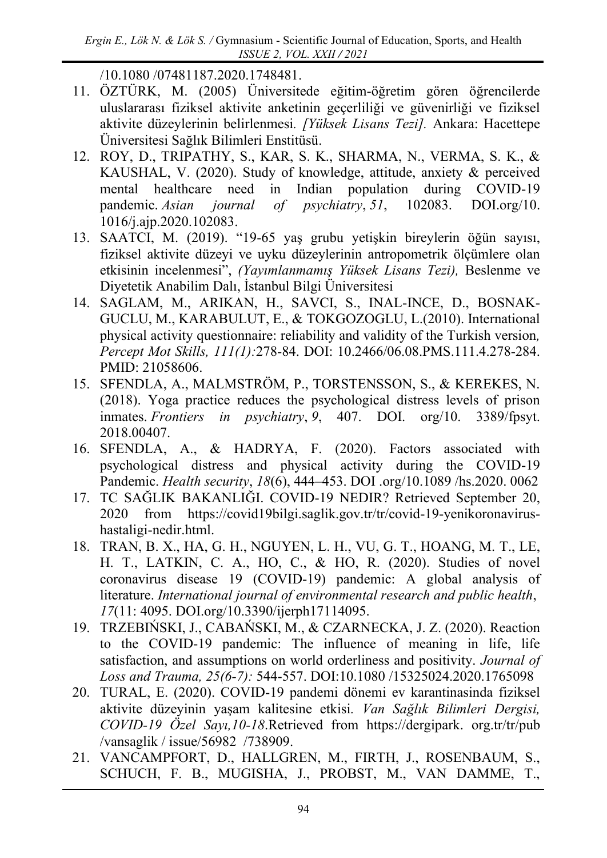/10.1080 /07481187.2020.1748481.

- 11. ÖZTÜRK, M. (2005) Üniversitede eğitim-öğretim gören öğrencilerde uluslararası fiziksel aktivite anketinin geçerliliği ve güvenirliği ve fiziksel aktivite düzeylerinin belirlenmesi*. [Yüksek Lisans Tezi].* Ankara: Hacettepe Üniversitesi Sağlık Bilimleri Enstitüsü.
- 12. ROY, D., TRIPATHY, S., KAR, S. K., SHARMA, N., VERMA, S. K., & KAUSHAL, V. (2020). Study of knowledge, attitude, anxiety & perceived mental healthcare need in Indian population during COVID-19 pandemic. *Asian journal of psychiatry*, *51*, 102083. DOI.org/10. 1016/j.ajp.2020.102083.
- 13. SAATCI, M. (2019). "19-65 yaş grubu yetişkin bireylerin öğün sayısı, fiziksel aktivite düzeyi ve uyku düzeylerinin antropometrik ölçümlere olan etkisinin incelenmesi", *(Yayımlanmamış Yüksek Lisans Tezi),* Beslenme ve Diyetetik Anabilim Dalı, İstanbul Bilgi Üniversitesi
- 14. SAGLAM, M., ARIKAN, H., SAVCI, S., INAL-INCE, D., BOSNAK-GUCLU, M., KARABULUT, E., & TOKGOZOGLU, L.(2010). International physical activity questionnaire: reliability and validity of the Turkish version*, Percept Mot Skills, 111(1):*278-84. DOI: 10.2466/06.08.PMS.111.4.278-284. PMID: 21058606.
- 15. SFENDLA, A., MALMSTRÖM, P., TORSTENSSON, S., & KEREKES, N. (2018). Yoga practice reduces the psychological distress levels of prison inmates. *Frontiers in psychiatry*, *9*, 407. DOI. org/10. 3389/fpsyt. 2018.00407.
- 16. SFENDLA, A., & HADRYA, F. (2020). Factors associated with psychological distress and physical activity during the COVID-19 Pandemic. *Health security*, *18*(6), 444–453. [DOI](https://doi/) .org/10.1089 /hs.2020. 0062
- 17. TC SAĞLIK BAKANLIĞI. COVID-19 NEDIR? Retrieved September 20, 2020 from https://covid19bilgi.saglik.gov.tr/tr/covid-19-yenikoronavirushastaligi-nedir.html.
- 18. TRAN, B. X., HA, G. H., NGUYEN, L. H., VU, G. T., HOANG, M. T., LE, H. T., LATKIN, C. A., HO, C., & HO, R. (2020). Studies of novel coronavirus disease 19 (COVID-19) pandemic: A global analysis of literature. *International journal of environmental research and public health*, *17*(11: 4095. DOI.org/10.3390/ijerph17114095.
- 19. TRZEBIŃSKI, J., CABAŃSKI, M., & CZARNECKA, J. Z. (2020). Reaction to the COVID-19 pandemic: The influence of meaning in life, life satisfaction, and assumptions on world orderliness and positivity. *Journal of Loss and Trauma, 25(6-7):* 544-557. DOI:10.1080 /15325024.2020.1765098
- 20. TURAL, E. (2020). COVID-19 pandemi dönemi ev karantinasinda fiziksel aktivite düzeyinin yaşam kalitesine etkisi*. Van Sağlık Bilimleri Dergisi, COVID-19 Özel Sayı,10-18*.Retrieved from [https://dergipark.](https://dergipark/) org.tr/tr/pub /vansaglik / issue/56982 /738909.
- 21. VANCAMPFORT, D., HALLGREN, M., FIRTH, J., ROSENBAUM, S., SCHUCH, F. B., MUGISHA, J., PROBST, M., VAN DAMME, T.,